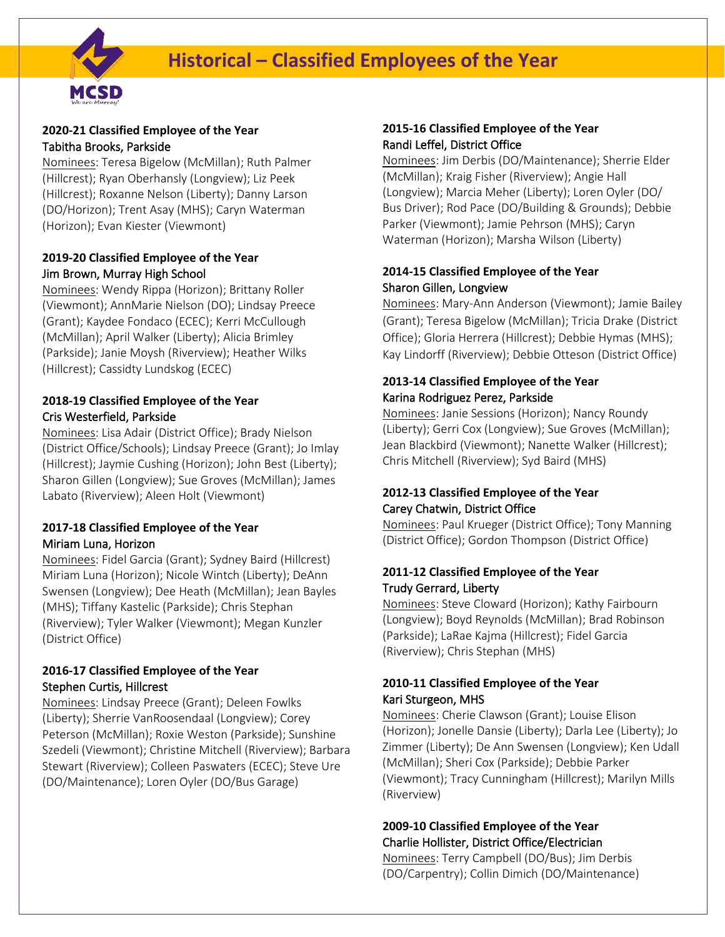

## **2020-21 Classified Employee of the Year**  Tabitha Brooks, Parkside

Nominees: Teresa Bigelow (McMillan); Ruth Palmer (Hillcrest); Ryan Oberhansly (Longview); Liz Peek (Hillcrest); Roxanne Nelson (Liberty); Danny Larson (DO/Horizon); Trent Asay (MHS); Caryn Waterman (Horizon); Evan Kiester (Viewmont)

### **2019-20 Classified Employee of the Year**  Jim Brown, Murray High School

Nominees: Wendy Rippa (Horizon); Brittany Roller (Viewmont); AnnMarie Nielson (DO); Lindsay Preece (Grant); Kaydee Fondaco (ECEC); Kerri McCullough (McMillan); April Walker (Liberty); Alicia Brimley (Parkside); Janie Moysh (Riverview); Heather Wilks (Hillcrest); Cassidty Lundskog (ECEC)

### **2018-19 Classified Employee of the Year** Cris Westerfield, Parkside

Nominees: Lisa Adair (District Office); Brady Nielson (District Office/Schools); Lindsay Preece (Grant); Jo Imlay (Hillcrest); Jaymie Cushing (Horizon); John Best (Liberty); Sharon Gillen (Longview); Sue Groves (McMillan); James Labato (Riverview); Aleen Holt (Viewmont)

## **2017-18 Classified Employee of the Year** Miriam Luna, Horizon

Nominees: Fidel Garcia (Grant); Sydney Baird (Hillcrest) Miriam Luna (Horizon); Nicole Wintch (Liberty); DeAnn Swensen (Longview); Dee Heath (McMillan); Jean Bayles (MHS); Tiffany Kastelic (Parkside); Chris Stephan (Riverview); Tyler Walker (Viewmont); Megan Kunzler (District Office)

### **2016-17 Classified Employee of the Year** Stephen Curtis, Hillcrest

Nominees: Lindsay Preece (Grant); Deleen Fowlks (Liberty); Sherrie VanRoosendaal (Longview); Corey Peterson (McMillan); Roxie Weston (Parkside); Sunshine Szedeli (Viewmont); Christine Mitchell (Riverview); Barbara Stewart (Riverview); Colleen Paswaters (ECEC); Steve Ure (DO/Maintenance); Loren Oyler (DO/Bus Garage)

#### **2015-16 Classified Employee of the Year** Randi Leffel, District Office

Nominees: Jim Derbis (DO/Maintenance); Sherrie Elder (McMillan); Kraig Fisher (Riverview); Angie Hall (Longview); Marcia Meher (Liberty); Loren Oyler (DO/ Bus Driver); Rod Pace (DO/Building & Grounds); Debbie Parker (Viewmont); Jamie Pehrson (MHS); Caryn Waterman (Horizon); Marsha Wilson (Liberty)

## **2014-15 Classified Employee of the Year** Sharon Gillen, Longview

Nominees: Mary-Ann Anderson (Viewmont); Jamie Bailey (Grant); Teresa Bigelow (McMillan); Tricia Drake (District Office); Gloria Herrera (Hillcrest); Debbie Hymas (MHS); Kay Lindorff (Riverview); Debbie Otteson (District Office)

# **2013-14 Classified Employee of the Year** Karina Rodriguez Perez, Parkside

Nominees: Janie Sessions (Horizon); Nancy Roundy (Liberty); Gerri Cox (Longview); Sue Groves (McMillan); Jean Blackbird (Viewmont); Nanette Walker (Hillcrest); Chris Mitchell (Riverview); Syd Baird (MHS)

### **2012-13 Classified Employee of the Year** Carey Chatwin, District Office

Nominees: Paul Krueger (District Office); Tony Manning (District Office); Gordon Thompson (District Office)

## **2011-12 Classified Employee of the Year** Trudy Gerrard, Liberty

Nominees: Steve Cloward (Horizon); Kathy Fairbourn (Longview); Boyd Reynolds (McMillan); Brad Robinson (Parkside); LaRae Kajma (Hillcrest); Fidel Garcia (Riverview); Chris Stephan (MHS)

### **2010-11 Classified Employee of the Year** Kari Sturgeon, MHS

Nominees: Cherie Clawson (Grant); Louise Elison (Horizon); Jonelle Dansie (Liberty); Darla Lee (Liberty); Jo Zimmer (Liberty); De Ann Swensen (Longview); Ken Udall (McMillan); Sheri Cox (Parkside); Debbie Parker (Viewmont); Tracy Cunningham (Hillcrest); Marilyn Mills (Riverview)

# **2009-10 Classified Employee of the Year** Charlie Hollister, District Office/Electrician

Nominees: Terry Campbell (DO/Bus); Jim Derbis (DO/Carpentry); Collin Dimich (DO/Maintenance)